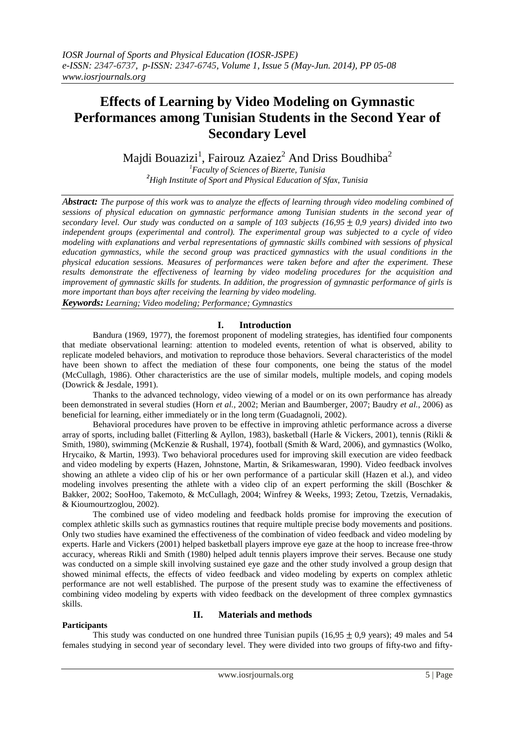# **Effects of Learning by Video Modeling on Gymnastic Performances among Tunisian Students in the Second Year of Secondary Level**

Majdi Bouazizi<sup>1</sup>, Fairouz Azaiez $^2$  And Driss Boudhiba $^2$ 

*<sup>1</sup>Faculty of Sciences of Bizerte, Tunisia <sup>2</sup>High Institute of Sport and Physical Education of Sfax, Tunisia*

*Abstract: The purpose of this work was to analyze the effects of learning through video modeling combined of sessions of physical education on gymnastic performance among Tunisian students in the second year of secondary level. Our study was conducted on a sample of 103 subjects*  $(16,95 \pm 0.9 \text{ years})$  *divided into two independent groups (experimental and control). The experimental group was subjected to a cycle of video modeling with explanations and verbal representations of gymnastic skills combined with sessions of physical education gymnastics, while the second group was practiced gymnastics with the usual conditions in the physical education sessions. Measures of performances were taken before and after the experiment. These results demonstrate the effectiveness of learning by video modeling procedures for the acquisition and improvement of gymnastic skills for students. In addition, the progression of gymnastic performance of girls is more important than boys after receiving the learning by video modeling.* 

*Keywords: Learning; Video modeling; Performance; Gymnastics*

# **I. Introduction**

Bandura (1969, 1977), the foremost proponent of modeling strategies, has identified four components that mediate observational learning: attention to modeled events, retention of what is observed, ability to replicate modeled behaviors, and motivation to reproduce those behaviors. Several characteristics of the model have been shown to affect the mediation of these four components, one being the status of the model (McCullagh, 1986). Other characteristics are the use of similar models, multiple models, and coping models (Dowrick & Jesdale, 1991).

Thanks to the advanced technology, video viewing of a model or on its own performance has already been demonstrated in several studies (Horn *et al.,* 2002; Merian and Baumberger, 2007; Baudry *et al.,* 2006) as beneficial for learning, either immediately or in the long term (Guadagnoli, 2002).

Behavioral procedures have proven to be effective in improving athletic performance across a diverse array of sports, including ballet (Fitterling & Ayllon, 1983), basketball (Harle & Vickers, 2001), tennis (Rikli & Smith, 1980), swimming (McKenzie & Rushall, 1974), football (Smith & Ward, 2006), and gymnastics (Wolko, Hrycaiko, & Martin, 1993). Two behavioral procedures used for improving skill execution are video feedback and video modeling by experts (Hazen, Johnstone, Martin, & Srikameswaran, 1990). Video feedback involves showing an athlete a video clip of his or her own performance of a particular skill (Hazen et al.), and video modeling involves presenting the athlete with a video clip of an expert performing the skill (Boschker & Bakker, 2002; SooHoo, Takemoto, & McCullagh, 2004; Winfrey & Weeks, 1993; Zetou, Tzetzis, Vernadakis, & Kioumourtzoglou, 2002).

The combined use of video modeling and feedback holds promise for improving the execution of complex athletic skills such as gymnastics routines that require multiple precise body movements and positions. Only two studies have examined the effectiveness of the combination of video feedback and video modeling by experts. Harle and Vickers (2001) helped basketball players improve eye gaze at the hoop to increase free-throw accuracy, whereas Rikli and Smith (1980) helped adult tennis players improve their serves. Because one study was conducted on a simple skill involving sustained eye gaze and the other study involved a group design that showed minimal effects, the effects of video feedback and video modeling by experts on complex athletic performance are not well established. The purpose of the present study was to examine the effectiveness of combining video modeling by experts with video feedback on the development of three complex gymnastics skills.

# **Participants**

# **II. Materials and methods**

This study was conducted on one hundred three Tunisian pupils (16,95  $\pm$  0,9 years); 49 males and 54 females studying in second year of secondary level. They were divided into two groups of fifty-two and fifty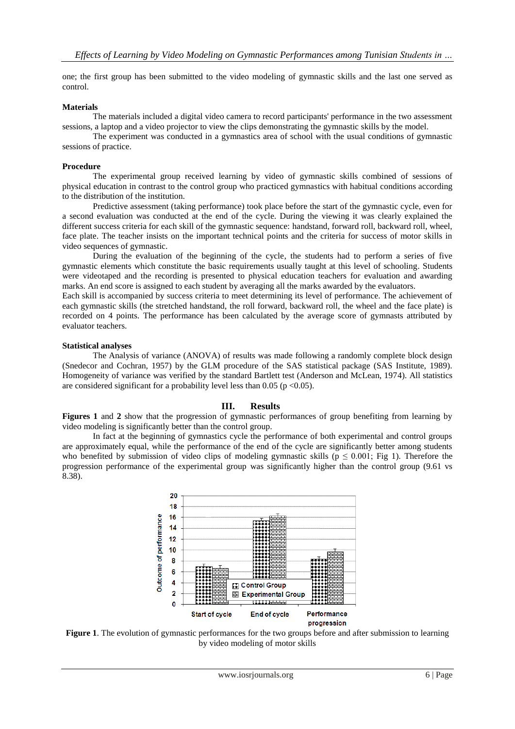one; the first group has been submitted to the video modeling of gymnastic skills and the last one served as control.

## **Materials**

The materials included a digital video camera to record participants' performance in the two assessment sessions, a laptop and a video projector to view the clips demonstrating the gymnastic skills by the model.

The experiment was conducted in a gymnastics area of school with the usual conditions of gymnastic sessions of practice.

### **Procedure**

The experimental group received learning by video of gymnastic skills combined of sessions of physical education in contrast to the control group who practiced gymnastics with habitual conditions according to the distribution of the institution.

Predictive assessment (taking performance) took place before the start of the gymnastic cycle, even for a second evaluation was conducted at the end of the cycle. During the viewing it was clearly explained the different success criteria for each skill of the gymnastic sequence: handstand, forward roll, backward roll, wheel, face plate. The teacher insists on the important technical points and the criteria for success of motor skills in video sequences of gymnastic.

During the evaluation of the beginning of the cycle, the students had to perform a series of five gymnastic elements which constitute the basic requirements usually taught at this level of schooling. Students were videotaped and the recording is presented to physical education teachers for evaluation and awarding marks. An end score is assigned to each student by averaging all the marks awarded by the evaluators.

Each skill is accompanied by success criteria to meet determining its level of performance. The achievement of each gymnastic skills (the stretched handstand, the roll forward, backward roll, the wheel and the face plate) is recorded on 4 points. The performance has been calculated by the average score of gymnasts attributed by evaluator teachers.

#### **Statistical analyses**

The Analysis of variance (ANOVA) of results was made following a randomly complete block design (Snedecor and Cochran, 1957) by the GLM procedure of the SAS statistical package (SAS Institute, 1989). Homogeneity of variance was verified by the standard Bartlett test (Anderson and McLean, 1974). All statistics are considered significant for a probability level less than 0.05 ( $p < 0.05$ ).

# **III. Results**

**Figures 1** and **2** show that the progression of gymnastic performances of group benefiting from learning by video modeling is significantly better than the control group.

In fact at the beginning of gymnastics cycle the performance of both experimental and control groups are approximately equal, while the performance of the end of the cycle are significantly better among students who benefited by submission of video clips of modeling gymnastic skills ( $p \le 0.001$ ; Fig 1). Therefore the progression performance of the experimental group was significantly higher than the control group (9.61 vs 8.38).



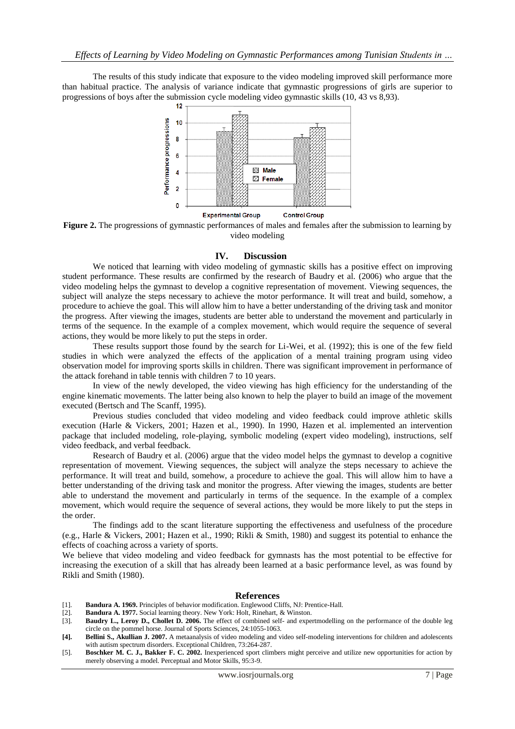The results of this study indicate that exposure to the video modeling improved skill performance more than habitual practice. The analysis of variance indicate that gymnastic progressions of girls are superior to progressions of boys after the submission cycle modeling video gymnastic skills (10, 43 vs 8,93).



**Figure 2.** The progressions of gymnastic performances of males and females after the submission to learning by video modeling

#### **IV. Discussion**

We noticed that learning with video modeling of gymnastic skills has a positive effect on improving student performance. These results are confirmed by the research of Baudry et al. (2006) who argue that the video modeling helps the gymnast to develop a cognitive representation of movement. Viewing sequences, the subject will analyze the steps necessary to achieve the motor performance. It will treat and build, somehow, a procedure to achieve the goal. This will allow him to have a better understanding of the driving task and monitor the progress. After viewing the images, students are better able to understand the movement and particularly in terms of the sequence. In the example of a complex movement, which would require the sequence of several actions, they would be more likely to put the steps in order.

These results support those found by the search for Li-Wei, et al. (1992); this is one of the few field studies in which were analyzed the effects of the application of a mental training program using video observation model for improving sports skills in children. There was significant improvement in performance of the attack forehand in table tennis with children 7 to 10 years.

In view of the newly developed, the video viewing has high efficiency for the understanding of the engine kinematic movements. The latter being also known to help the player to build an image of the movement executed (Bertsch and The Scanff, 1995).

Previous studies concluded that video modeling and video feedback could improve athletic skills execution (Harle & Vickers, 2001; Hazen et al., 1990). In 1990, Hazen et al. implemented an intervention package that included modeling, role-playing, symbolic modeling (expert video modeling), instructions, self video feedback, and verbal feedback.

Research of Baudry et al. (2006) argue that the video model helps the gymnast to develop a cognitive representation of movement. Viewing sequences, the subject will analyze the steps necessary to achieve the performance. It will treat and build, somehow, a procedure to achieve the goal. This will allow him to have a better understanding of the driving task and monitor the progress. After viewing the images, students are better able to understand the movement and particularly in terms of the sequence. In the example of a complex movement, which would require the sequence of several actions, they would be more likely to put the steps in the order.

The findings add to the scant literature supporting the effectiveness and usefulness of the procedure (e.g., Harle & Vickers, 2001; Hazen et al., 1990; Rikli & Smith, 1980) and suggest its potential to enhance the effects of coaching across a variety of sports.

We believe that video modeling and video feedback for gymnasts has the most potential to be effective for increasing the execution of a skill that has already been learned at a basic performance level, as was found by Rikli and Smith (1980).

#### **References**

- [1]. **Bandura A. 1969.** Principles of behavior modification. Englewood Cliffs, NJ: Prentice-Hall.
- [2]. **Bandura A. 1977.** Social learning theory. New York: Holt, Rinehart, & Winston.
- [3]. **Baudry L., Leroy D., Chollet D. 2006.** The effect of combined self- and expertmodelling on the performance of the double leg circle on the pommel horse. Journal of Sports Sciences, 24:1055-1063.
- **[4]. Bellini S., Akullian J. 2007.** A metaanalysis of video modeling and video self-modeling interventions for children and adolescents with autism spectrum disorders. Exceptional Children, 73:264-287.
- [5]. **Boschker M. C. J., Bakker F. C. 2002.** Inexperienced sport climbers might perceive and utilize new opportunities for action by merely observing a model. Perceptual and Motor Skills, 95:3-9.